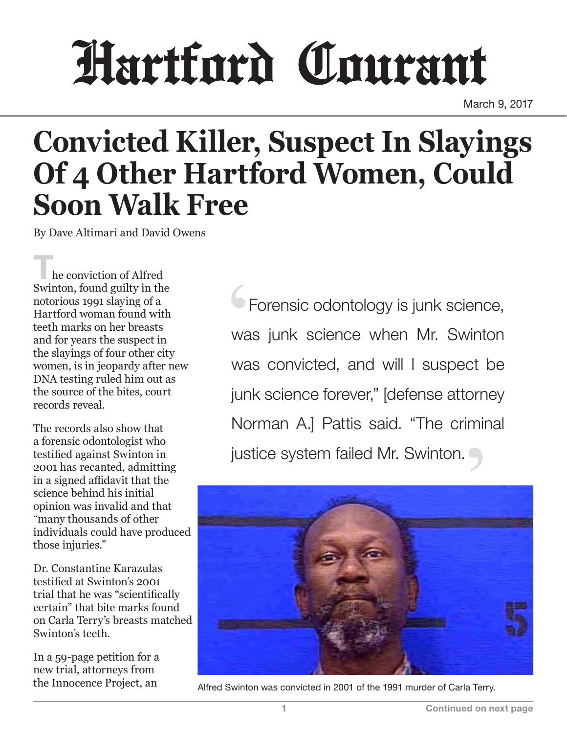## Hartford Courant

March 9, 2017

## **Convicted Killer, Suspect In Slayings Of 4 Other Hartford Women, Could Soon Walk Free**

By Dave Altimari and David Owens

he conviction of Alfred Swinton, found guilty in the notorious 1991 slaying of a Hartford woman found with teeth marks on her breasts and for years the suspect in the slayings of four other city women, is in jeopardy after new DNA testing ruled him out as the source of the bites, court records reveal.

The records also show that a forensic odontologist who testified against Swinton in 2001 has recanted, admitting in a signed affidavit that the science behind his initial opinion was invalid and that "many thousands of other individuals could have produced those injuries."

Dr. Constantine Karazulas testified at Swinton's 2001 trial that he was "scientifically certain" that bite marks found on Carla Terry's breasts matched Swinton's teeth.

In a 59-page petition for a new trial, attorneys from the Innocence Project, an

**Forensic odontology is junk science,** was junk science when Mr. Swinton was convicted, and will I suspect be junk science forever," [defense attorney Norman A.] Pattis said. "The criminal justice system failed Mr. Swinton.



Alfred Swinton was convicted in 2001 of the 1991 murder of Carla Terry.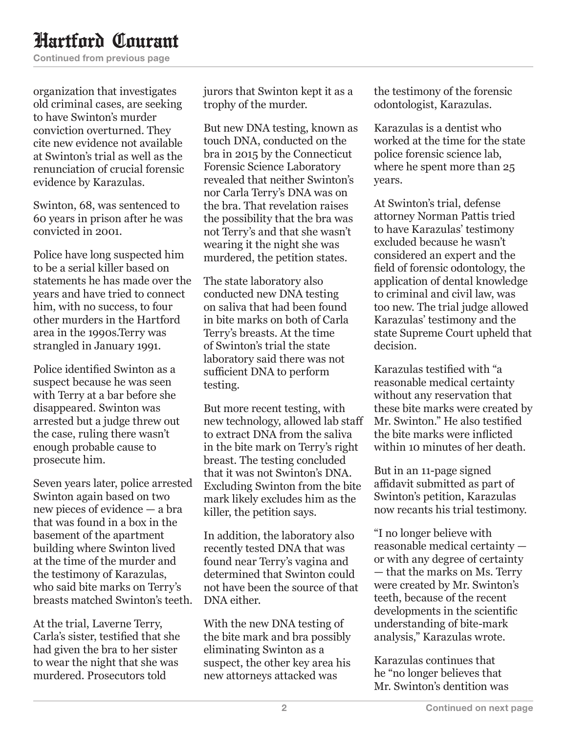## Hartford Courant

Continued from previous page

organization that investigates old criminal cases, are seeking to have Swinton's murder conviction overturned. They cite new evidence not available at Swinton's trial as well as the renunciation of crucial forensic evidence by Karazulas.

Swinton, 68, was sentenced to 60 years in prison after he was convicted in 2001.

Police have long suspected him to be a serial killer based on statements he has made over the years and have tried to connect him, with no success, to four other murders in the Hartford area in the 1990s.Terry was strangled in January 1991.

Police identified Swinton as a suspect because he was seen with Terry at a bar before she disappeared. Swinton was arrested but a judge threw out the case, ruling there wasn't enough probable cause to prosecute him.

Seven years later, police arrested Swinton again based on two new pieces of evidence — a bra that was found in a box in the basement of the apartment building where Swinton lived at the time of the murder and the testimony of Karazulas, who said bite marks on Terry's breasts matched Swinton's teeth.

At the trial, Laverne Terry, Carla's sister, testified that she had given the bra to her sister to wear the night that she was murdered. Prosecutors told

jurors that Swinton kept it as a trophy of the murder.

But new DNA testing, known as touch DNA, conducted on the bra in 2015 by the Connecticut Forensic Science Laboratory revealed that neither Swinton's nor Carla Terry's DNA was on the bra. That revelation raises the possibility that the bra was not Terry's and that she wasn't wearing it the night she was murdered, the petition states.

The state laboratory also conducted new DNA testing on saliva that had been found in bite marks on both of Carla Terry's breasts. At the time of Swinton's trial the state laboratory said there was not sufficient DNA to perform testing.

But more recent testing, with new technology, allowed lab staff to extract DNA from the saliva in the bite mark on Terry's right breast. The testing concluded that it was not Swinton's DNA. Excluding Swinton from the bite mark likely excludes him as the killer, the petition says.

In addition, the laboratory also recently tested DNA that was found near Terry's vagina and determined that Swinton could not have been the source of that DNA either.

With the new DNA testing of the bite mark and bra possibly eliminating Swinton as a suspect, the other key area his new attorneys attacked was

the testimony of the forensic odontologist, Karazulas.

Karazulas is a dentist who worked at the time for the state police forensic science lab, where he spent more than 25 years.

At Swinton's trial, defense attorney Norman Pattis tried to have Karazulas' testimony excluded because he wasn't considered an expert and the field of forensic odontology, the application of dental knowledge to criminal and civil law, was too new. The trial judge allowed Karazulas' testimony and the state Supreme Court upheld that decision.

Karazulas testified with "a reasonable medical certainty without any reservation that these bite marks were created by Mr. Swinton." He also testified the bite marks were inflicted within 10 minutes of her death.

But in an 11-page signed affidavit submitted as part of Swinton's petition, Karazulas now recants his trial testimony.

"I no longer believe with reasonable medical certainty or with any degree of certainty — that the marks on Ms. Terry were created by Mr. Swinton's teeth, because of the recent developments in the scientific understanding of bite-mark analysis," Karazulas wrote.

Karazulas continues that he "no longer believes that Mr. Swinton's dentition was